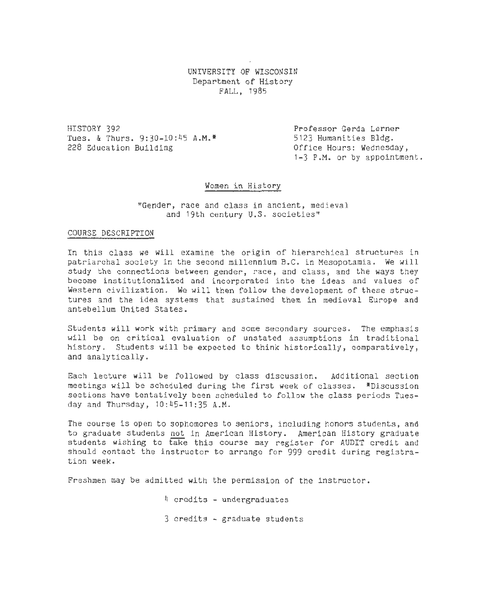UNIVERSITY OF WISCONSIN Department of History FALL, 1985

HISTORY 392 Tues. & Thurs. 9:30-10:45 A.M.<sup>\*</sup> 228 Education Building

Professor Gerda Lerner 5123 Humanities Bldg. Office Hours: Wednesday, 1-3 P.M. or by appointment.

# Women in History

#### "Gender, race and class in ancient, medieval and 19th century U.S. societies"

#### COURSE DESCRIPTION

In this class we will examine the origin of hierarchical structures in patriarchal society in the second millennium B.C. in Mesopotamia. We will study the connections between gender, race, and class, and the ways they become institutionalized and incorporated into the ideas and values of Western civilization. We will then follow the development of these structures and the idea systems that sustained them in medieval Europe and antebellum United States.

Students will work with primary and some secondary sources. The emphasis will be on critical evaluation of unstated assumptions in traditional history. Students will be expected to think historically, comparatively, and analytically.

Each lecture will be followed by class discussion. Additional section meetings will be scheduled during the first week of classes. \*Discussion sections have tentatively been scheduled to follow the class periods Tuesday and Thursday, 10:45-11:35 A.M.

The course is open to sophomores to seniors, including honors students, and to graduate students not in American History. American History graduate students wishing to take this course may register for AUDIT credit and should contact the instructor to arrange for 999 credit during registration week.

Freshmen may be admitted with the permission of the instructor.

4 credits - undergraduates

3 credits - graduate students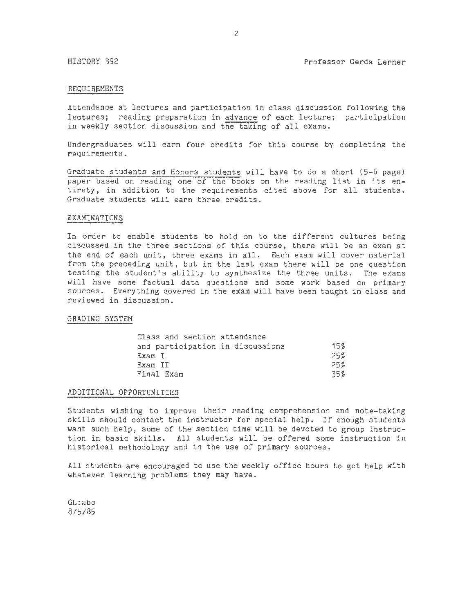#### REQUIREMENTS

Attendance at lectures and participation in class discussion following the lectures; reading preparation in advance of each lecture; participation in weekly section discussion and the taking of all exams.

Undergraduates will earn four credits for this course by completing the requirements.

Graduate students and Honors students will have to do a short (5-6 page) paper based on reading one of the books on the reading list in its entirety, in addition to the requirements cited above for all students. Graduate students will earn three credits.

#### EXAMINATIONS

In order to enable students to hold on to the different cultures being discussed in the three sections of this course, there will be an exam at the end of each unit, three exams in all. Each exam will cover material from the preceding unit, but in the last exam there will be one question testing the student's ability to synthesize the three units. The exams will have some factual data questions and some work based on primary sources. Everything covered in the exam will have been taught in class and reviewed in discussion.

#### GRADING SYSTEM

| Class and section attendance     |        |
|----------------------------------|--------|
| and participation in discussions | $15\%$ |
| Exam I                           | 25%    |
| Exam II                          | 25%    |
| Final Exam                       | 35%    |

#### ADDITIONAL OPPORTUNITIES

Students wishing to improve their reading comprehension and note-taking skills should contact the instructor for special help. If enough students want such help, some of the section time will be devoted to group instruction in basic skills. All students will be offered some instruction in historical methodology and in the use of primary sources.

All students are encouraged to use the weekly office hours to get help with whatever learning problems they may have.

GL:abo 8/5/85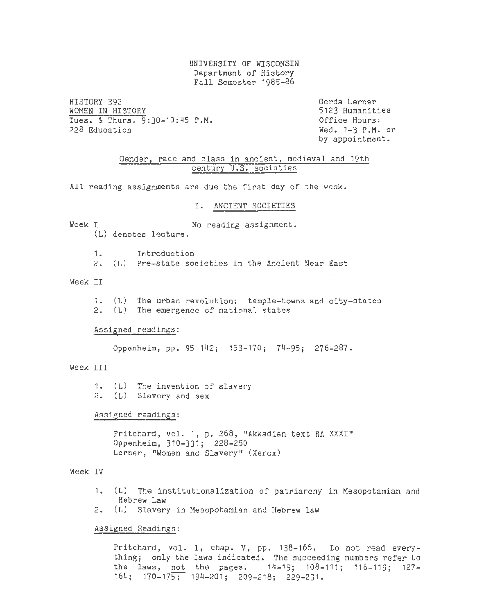UNIVERSITY OF WISCONSIN Department of History Fall Semester 1985~86

HISTORY 392 WOMEN IN HISTORY Tues. & Thurs.  $9:30-10:45$  P.M.<br>228 Education Gerda Lerner 5123 Humanities  $Wed = 1-3$  P.M. or by appointment.

Gender, race and class in ancient, medieval and 19th century U.S. societies

All reading assignments are due the first day of the week.

#### I. ANCIENT SOCIETIES

Week I No reading assignment. (L) denotes lecture .

> 1. Introduction 2. (L) Pre-state societies in the Ancient Near East

# Week II

1. (L) The urban revolution: temple-towns and city-states 2. (L) The emergence of national states

#### Assigned readings:

Oppenheim, pp. 95-142; 153-170; 74-95; 276-287.

# Week TTT

1. (L) The invention of slavery 2. (L) Slavery and sex

Assigned readings:

Pritchard, vol. 1, p. 268, "Akkadian text RA XXXI" Oppenheim, 310-331; 228- 250 Lerner, "Women and Slavery" (Xerox)

# Week IV

- 1. (L) The institutionalization of patriarchy in Mesopotamian and Hebrew Law
- 2. (L) Slavery in Mesopotamian and Hebrew law

#### Assigned Readings:

Pritchard, vol. thing; only the the laws, not the pages. 14-19; 108-111; 116-119; 127-164; 170-175; 194-201; 209-218; 229-231. 1, chap. V, pp. 138-166. Do not read everylaws indicated. The succeeding numbers refer to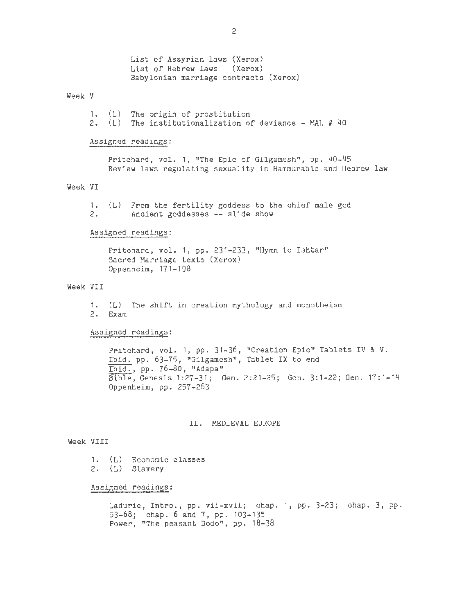List of Assyrian laws (Xerox)<br>List of Hebrew laws (Xerox) List of Hebrew laws Babylonian marriage contracts (Xerox)

#### Week V

1. (L) The origin of prostitution 2. (L) The institutionalization of deviance - MAL  $#$  40

#### Assigned readings:

Pritchard, vol. 1, "The Epic of Gilgamesh", pp. 40-45 Review laws regulating sexuality in Hammurabic and Hebrew law

# Week VI

1. (L) From the fertility goddess to the chief male god Ancient goddesses -- slide show

#### Assigned readings:

Pritchard, vol. 1, pp. 231-233, "Hymn to Ishtar" Sacred Marriage texts (Xerox) Oppenheim, 171-198

#### Week VII

1. (L) The shift in creation mythology and monotheism 2. Exam

# Assigned readings:

Pritchard, vol. 1, pp. 31-36, "Creation Epic" Tablets IV & V. Ibid. pp. 63-75, "Gilgamesh", Tablet IX to end  $\frac{10144}{1 \cdot 1014}$ , pp. 76-80, "Adapa" Bible, Genesis 1:27-31; Gen. 2:21-25; Gen. 3:1-22; Gen. 17 : 1-14 Oppenheim, pp. 257-263

# II. MEDIEVAL EUROPE

## Week VIII

- 1. (L) Economic classes
- 2. (L) Slavery

#### Assigned readings:

Ladurie, Intro., pp. vii-xvii; chap. 1, pp. 3-23; chap. 3, pp. 53-68; chap. 6 and 7, pp. 103-135 Power, "The peasant Bodo", pp. 18-38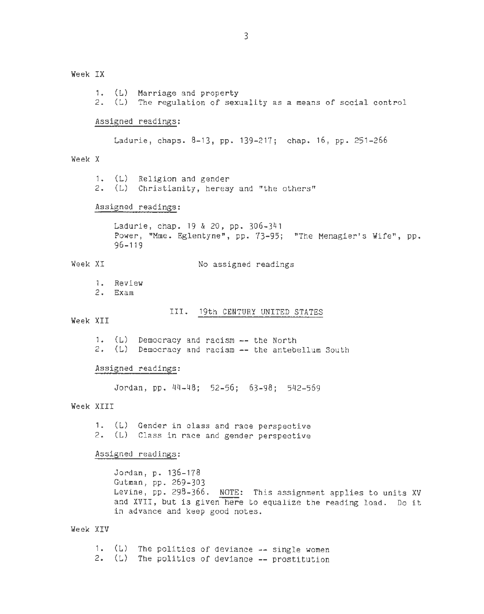Week IX

1. (L) Marriage and property 2. (L) The regulation of sexuality as a means of social control Assigned readings: Ladurie, chaps. 8-13, pp. 139-217; chap. 16, pp. 251-266 Week X 1. (L) Religion and gender 2. (L) Christianity, heresy and "the others" Assigned readings: Ladurie, chap. 19 & 20, pp. 306-341 Power, "Mme. Eglentyne", pp. 73-95; "The Menagier's Wife", pp. 96-119 Week XI No assigned readings 1. Review 2. Exam III. 19th CENTURY UNITED STATES Week XII 1.  $(L)$  Democracy and racism  $-$ - the North  $2.$  (L) Democracy and racism  $-$ - the antebellum South Assigned readings: Jordan, pp. 44-48; 52-56; 63-98; 542-569 Week XIII 1. (L) Gender in class and race perspective 2. (L) Class in race and gender perspective Assigned readings: Week XIV Jordan, p. 136-178 Gutman, pp. 269-303 Levine, pp. 298-366. NOTE: This assignment applies to units XV and XVII, but is given here to equalize the reading load. Do it in advance and keep good notes. 1.  $(L)$  The politics of deviance  $--$  single women 2.  $(L)$  The politics of deviance  $-$  prostitution